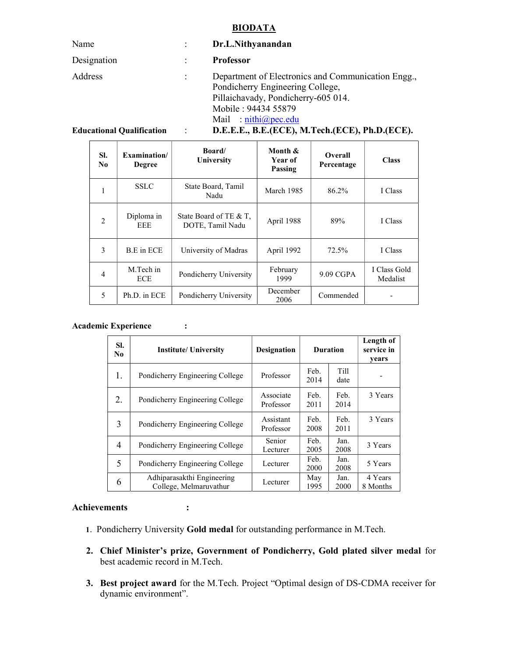#### BIODATA

| Name                             |                      | Dr.L.Nithyanandan                                                                                                                                                                                                               |
|----------------------------------|----------------------|---------------------------------------------------------------------------------------------------------------------------------------------------------------------------------------------------------------------------------|
| Designation                      |                      | <b>Professor</b>                                                                                                                                                                                                                |
| Address                          |                      | Department of Electronics and Communication Engg.,<br>Pondicherry Engineering College,<br>Pillaichavady, Pondicherry-605 014.<br>Mobile: 94434 55879<br>Mail: $\frac{\text{min}(a)\text{pec.edu}}{\text{min}(a)\text{pec.edu}}$ |
| <b>Educational Qualification</b> | $\ddot{\phantom{a}}$ | D.E.E.E., B.E.(ECE), M.Tech.(ECE), Ph.D.(ECE).                                                                                                                                                                                  |

| SI.<br>No.                                  | Examination/<br><b>Degree</b>                     | <b>Board</b><br>University                 | Month &<br>Year of<br>Passing | <b>Overall</b><br>Percentage | <b>Class</b>             |
|---------------------------------------------|---------------------------------------------------|--------------------------------------------|-------------------------------|------------------------------|--------------------------|
|                                             | <b>SSLC</b><br>State Board, Tamil<br>Nadu         |                                            | March 1985                    | 86.2%                        | I Class                  |
| $\mathfrak{D}$                              | Diploma in<br><b>EEE</b>                          | State Board of TE & T,<br>DOTE, Tamil Nadu | April 1988                    | 89%                          | I Class                  |
| 3                                           | B.E in ECE                                        | University of Madras                       | April 1992                    | 72.5%                        | I Class                  |
| $\overline{4}$                              | M.Tech in<br>Pondicherry University<br><b>ECE</b> |                                            | February<br>1999              | $9.09 \text{ CGPA}$          | I Class Gold<br>Medalist |
| 5<br>Ph.D. in ECE<br>Pondicherry University |                                                   | December<br>2006                           | Commended                     |                              |                          |

#### Academic Experience :

| SI.<br>No | <b>Institute/ University</b>                         | <b>Designation</b>     | <b>Duration</b> |                     | Length of<br>service in<br>years |
|-----------|------------------------------------------------------|------------------------|-----------------|---------------------|----------------------------------|
| 1.        | Pondicherry Engineering College                      | Professor              | Feb.<br>2014    | <b>Till</b><br>date |                                  |
| 2.        | Pondicherry Engineering College                      | Associate<br>Professor | Feb.<br>2011    | Feb.<br>2014        | 3 Years                          |
| 3         | Pondicherry Engineering College                      | Assistant<br>Professor | Feb.<br>2008    | Feb.<br>2011        | 3 Years                          |
| 4         | Pondicherry Engineering College                      | Senior<br>Lecturer     | Feb.<br>2005    | Jan.<br>2008        | 3 Years                          |
| 5         | Pondicherry Engineering College                      | Lecturer               | Feb.<br>2000    | Jan.<br>2008        | 5 Years                          |
| 6         | Adhiparasakthi Engineering<br>College, Melmaruvathur | Lecturer               | May<br>1995     | Jan.<br>2000        | 4 Years<br>8 Months              |

#### Achievements :

- 1. Pondicherry University Gold medal for outstanding performance in M.Tech.
- 2. Chief Minister's prize, Government of Pondicherry, Gold plated silver medal for best academic record in M.Tech.
- 3. Best project award for the M.Tech. Project "Optimal design of DS-CDMA receiver for dynamic environment".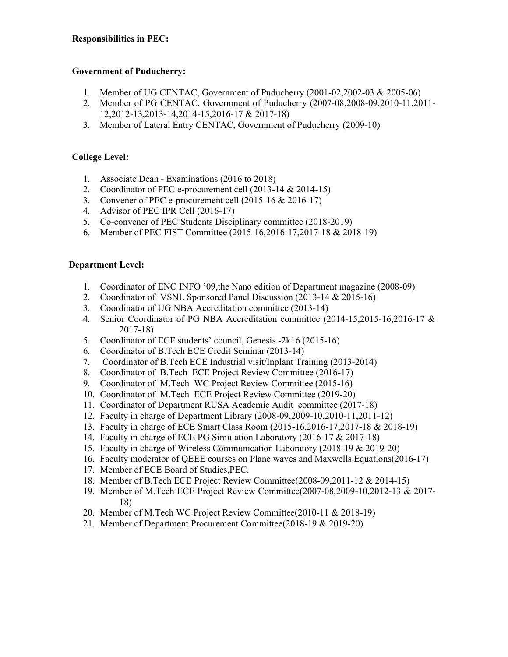# Responsibilities in PEC:

# Government of Puducherry:

- 1. Member of UG CENTAC, Government of Puducherry (2001-02,2002-03 & 2005-06)
- 2. Member of PG CENTAC, Government of Puducherry (2007-08,2008-09,2010-11,2011- 12,2012-13,2013-14,2014-15,2016-17 & 2017-18)
- 3. Member of Lateral Entry CENTAC, Government of Puducherry (2009-10)

# College Level:

- 1. Associate Dean Examinations (2016 to 2018)
- 2. Coordinator of PEC e-procurement cell (2013-14 & 2014-15)
- 3. Convener of PEC e-procurement cell (2015-16 & 2016-17)
- 4. Advisor of PEC IPR Cell (2016-17)
- 5. Co-convener of PEC Students Disciplinary committee (2018-2019)
- 6. Member of PEC FIST Committee (2015-16,2016-17,2017-18 & 2018-19)

## Department Level:

- 1. Coordinator of ENC INFO '09,the Nano edition of Department magazine (2008-09)
- 2. Coordinator of VSNL Sponsored Panel Discussion (2013-14 & 2015-16)
- 3. Coordinator of UG NBA Accreditation committee (2013-14)
- 4. Senior Coordinator of PG NBA Accreditation committee (2014-15,2015-16,2016-17 & 2017-18)
- 5. Coordinator of ECE students' council, Genesis -2k16 (2015-16)
- 6. Coordinator of B.Tech ECE Credit Seminar (2013-14)
- 7. Coordinator of B.Tech ECE Industrial visit/Inplant Training (2013-2014)
- 8. Coordinator of B.Tech ECE Project Review Committee (2016-17)
- 9. Coordinator of M.Tech WC Project Review Committee (2015-16)
- 10. Coordinator of M.Tech ECE Project Review Committee (2019-20)
- 11. Coordinator of Department RUSA Academic Audit committee (2017-18)
- 12. Faculty in charge of Department Library (2008-09,2009-10,2010-11,2011-12)
- 13. Faculty in charge of ECE Smart Class Room (2015-16,2016-17,2017-18 & 2018-19)
- 14. Faculty in charge of ECE PG Simulation Laboratory (2016-17 & 2017-18)
- 15. Faculty in charge of Wireless Communication Laboratory (2018-19 & 2019-20)
- 16. Faculty moderator of QEEE courses on Plane waves and Maxwells Equations(2016-17)
- 17. Member of ECE Board of Studies,PEC.
- 18. Member of B.Tech ECE Project Review Committee(2008-09,2011-12 & 2014-15)
- 19. Member of M.Tech ECE Project Review Committee(2007-08,2009-10,2012-13 & 2017- 18)
- 20. Member of M.Tech WC Project Review Committee(2010-11 & 2018-19)
- 21. Member of Department Procurement Committee(2018-19 & 2019-20)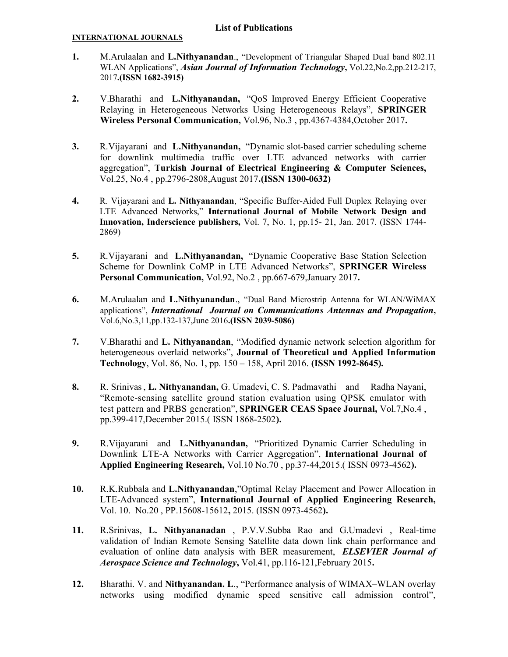## List of Publications

#### INTERNATIONAL JOURNALS

- 1. M.Arulaalan and L.Nithyanandan., "Development of Triangular Shaped Dual band 802.11 WLAN Applications", Asian Journal of Information Technology, Vol.22, No.2, pp.212-217, 2017.(ISSN 1682-3915)
- 2. V.Bharathi and L.Nithyanandan, "QoS Improved Energy Efficient Cooperative Relaying in Heterogeneous Networks Using Heterogeneous Relays", SPRINGER Wireless Personal Communication, Vol.96, No.3 , pp.4367-4384,October 2017.
- 3. R.Vijayarani and L.Nithyanandan, "Dynamic slot-based carrier scheduling scheme for downlink multimedia traffic over LTE advanced networks with carrier aggregation", Turkish Journal of Electrical Engineering & Computer Sciences, Vol.25, No.4 , pp.2796-2808,August 2017.(ISSN 1300-0632)
- 4. R. Vijayarani and L. Nithyanandan, "Specific Buffer-Aided Full Duplex Relaying over LTE Advanced Networks," International Journal of Mobile Network Design and Innovation, Inderscience publishers, Vol. 7, No. 1, pp.15- 21, Jan. 2017. (ISSN 1744- 2869)
- 5. R.Vijayarani and L.Nithyanandan, "Dynamic Cooperative Base Station Selection Scheme for Downlink CoMP in LTE Advanced Networks", SPRINGER Wireless Personal Communication, Vol.92, No.2 , pp.667-679,January 2017.
- 6. M.Arulaalan and L.Nithyanandan., "Dual Band Microstrip Antenna for WLAN/WiMAX applications", International Journal on Communications Antennas and Propagation, Vol.6,No.3,11,pp.132-137,June 2016.(ISSN 2039-5086)
- 7. V.Bharathi and L. Nithyanandan, "Modified dynamic network selection algorithm for heterogeneous overlaid networks", Journal of Theoretical and Applied Information Technology, Vol. 86, No. 1, pp. 150 – 158, April 2016. (ISSN 1992-8645).
- 8. R. Srinivas, L. Nithyanandan, G. Umadevi, C. S. Padmavathi and Radha Nayani, "Remote-sensing satellite ground station evaluation using QPSK emulator with test pattern and PRBS generation", SPRINGER CEAS Space Journal, Vol.7,No.4 , pp.399-417,December 2015.( ISSN 1868-2502).
- 9. R.Vijayarani and L.Nithyanandan, "Prioritized Dynamic Carrier Scheduling in Downlink LTE-A Networks with Carrier Aggregation", International Journal of Applied Engineering Research, Vol.10 No.70 , pp.37-44,2015.( ISSN 0973-4562).
- 10. R.K.Rubbala and L.Nithyanandan,"Optimal Relay Placement and Power Allocation in LTE-Advanced system", International Journal of Applied Engineering Research, Vol. 10. No.20 , PP.15608-15612, 2015. (ISSN 0973-4562).
- 11. R.Srinivas, L. Nithyananadan , P.V.V.Subba Rao and G.Umadevi , Real-time validation of Indian Remote Sensing Satellite data down link chain performance and evaluation of online data analysis with BER measurement, ELSEVIER Journal of Aerospace Science and Technology, Vol.41, pp.116-121, February 2015.
- 12. Bharathi. V. and Nithyanandan. L., "Performance analysis of WIMAX–WLAN overlay networks using modified dynamic speed sensitive call admission control",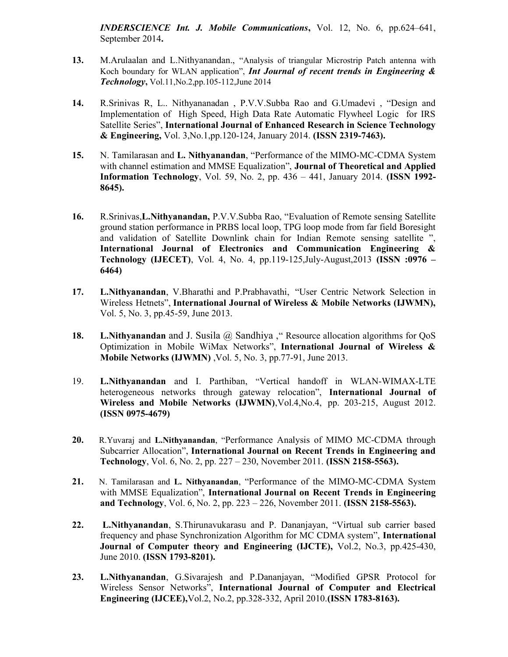INDERSCIENCE Int. J. Mobile Communications, Vol. 12, No. 6, pp.624–641, September 2014.

- 13. M.Arulaalan and L.Nithyanandan., "Analysis of triangular Microstrip Patch antenna with Koch boundary for WLAN application", Int Journal of recent trends in Engineering  $\&$ Technology, Vol.11,No.2,pp.105-112,June 2014
- 14. R.Srinivas R, L.. Nithyananadan , P.V.V.Subba Rao and G.Umadevi , "Design and Implementation of High Speed, High Data Rate Automatic Flywheel Logic for IRS Satellite Series", International Journal of Enhanced Research in Science Technology & Engineering, Vol. 3,No.1,pp.120-124, January 2014. (ISSN 2319-7463).
- 15. N. Tamilarasan and L. Nithyanandan, "Performance of the MIMO-MC-CDMA System with channel estimation and MMSE Equalization", Journal of Theoretical and Applied Information Technology, Vol. 59, No. 2, pp. 436 – 441, January 2014. (ISSN 1992- 8645).
- 16. R.Srinivas,L.Nithyanandan, P.V.V.Subba Rao, "Evaluation of Remote sensing Satellite ground station performance in PRBS local loop, TPG loop mode from far field Boresight and validation of Satellite Downlink chain for Indian Remote sensing satellite ", International Journal of Electronics and Communication Engineering & Technology (IJECET), Vol. 4, No. 4, pp.119-125,July-August,2013 (ISSN :0976 – 6464)
- 17. L.Nithyanandan, V.Bharathi and P.Prabhavathi, "User Centric Network Selection in Wireless Hetnets", International Journal of Wireless & Mobile Networks (IJWMN), Vol. 5, No. 3, pp.45-59, June 2013.
- 18. L. Nithyanandan and J. Susila @ Sandhiya , "Resource allocation algorithms for QoS Optimization in Mobile WiMax Networks", International Journal of Wireless & Mobile Networks (IJWMN) ,Vol. 5, No. 3, pp.77-91, June 2013.
- 19. L.Nithyanandan and I. Parthiban, "Vertical handoff in WLAN-WIMAX-LTE heterogeneous networks through gateway relocation", International Journal of Wireless and Mobile Networks (IJWMN),Vol.4,No.4, pp. 203-215, August 2012. (ISSN 0975-4679)
- 20. R.Yuvaraj and L.Nithyanandan, "Performance Analysis of MIMO MC-CDMA through Subcarrier Allocation", International Journal on Recent Trends in Engineering and Technology, Vol. 6, No. 2, pp. 227 – 230, November 2011. (ISSN 2158-5563).
- 21. N. Tamilarasan and L. Nithyanandan, "Performance of the MIMO-MC-CDMA System with MMSE Equalization", International Journal on Recent Trends in Engineering and Technology, Vol. 6, No. 2, pp. 223 – 226, November 2011. (ISSN 2158-5563).
- 22. L.Nithyanandan, S.Thirunavukarasu and P. Dananjayan, "Virtual sub carrier based frequency and phase Synchronization Algorithm for MC CDMA system", International Journal of Computer theory and Engineering (IJCTE), Vol.2, No.3, pp.425-430, June 2010. (ISSN 1793-8201).
- 23. L.Nithyanandan, G.Sivarajesh and P.Dananjayan, "Modified GPSR Protocol for Wireless Sensor Networks", International Journal of Computer and Electrical Engineering (IJCEE),Vol.2, No.2, pp.328-332, April 2010.(ISSN 1783-8163).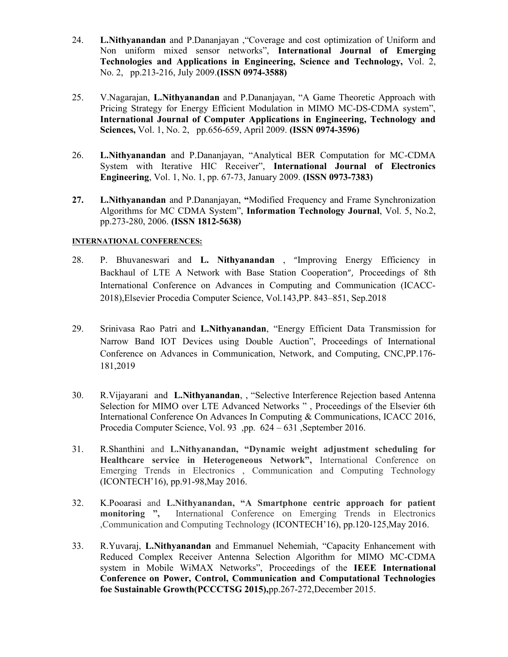- 24. L.Nithyanandan and P.Dananjayan ,"Coverage and cost optimization of Uniform and Non uniform mixed sensor networks", International Journal of Emerging Technologies and Applications in Engineering, Science and Technology, Vol. 2, No. 2, pp.213-216, July 2009.(ISSN 0974-3588)
- 25. V.Nagarajan, L.Nithyanandan and P.Dananjayan, "A Game Theoretic Approach with Pricing Strategy for Energy Efficient Modulation in MIMO MC-DS-CDMA system", International Journal of Computer Applications in Engineering, Technology and Sciences, Vol. 1, No. 2, pp.656-659, April 2009. (ISSN 0974-3596)
- 26. L.Nithyanandan and P.Dananjayan, "Analytical BER Computation for MC-CDMA System with Iterative HIC Receiver", International Journal of Electronics Engineering, Vol. 1, No. 1, pp. 67-73, January 2009. (ISSN 0973-7383)
- 27. L.Nithyanandan and P.Dananjayan, "Modified Frequency and Frame Synchronization Algorithms for MC CDMA System", Information Technology Journal, Vol. 5, No.2, pp.273-280, 2006. (ISSN 1812-5638)

## INTERNATIONAL CONFERENCES:

- 28. P. Bhuvaneswari and L. Nithyanandan , "Improving Energy Efficiency in Backhaul of LTE A Network with Base Station Cooperation", Proceedings of 8th International Conference on Advances in Computing and Communication (ICACC-2018),Elsevier Procedia Computer Science, Vol.143,PP. 843–851, Sep.2018
- 29. Srinivasa Rao Patri and L.Nithyanandan, "Energy Efficient Data Transmission for Narrow Band IOT Devices using Double Auction", Proceedings of International Conference on Advances in Communication, Network, and Computing, CNC,PP.176- 181,2019
- 30. R.Vijayarani and L.Nithyanandan, , "Selective Interference Rejection based Antenna Selection for MIMO over LTE Advanced Networks " , Proceedings of the Elsevier 6th International Conference On Advances In Computing & Communications, ICACC 2016, Procedia Computer Science, Vol. 93 ,pp. 624 – 631 ,September 2016.
- 31. R.Shanthini and L.Nithyanandan, "Dynamic weight adjustment scheduling for Healthcare service in Heterogeneous Network", International Conference on Emerging Trends in Electronics , Communication and Computing Technology (ICONTECH'16), pp.91-98,May 2016.
- 32. K.Pooarasi and L.Nithyanandan, "A Smartphone centric approach for patient monitoring ", International Conference on Emerging Trends in Electronics ,Communication and Computing Technology (ICONTECH'16), pp.120-125,May 2016.
- 33. R.Yuvaraj, L.Nithyanandan and Emmanuel Nehemiah, "Capacity Enhancement with Reduced Complex Receiver Antenna Selection Algorithm for MIMO MC-CDMA system in Mobile WiMAX Networks", Proceedings of the IEEE International Conference on Power, Control, Communication and Computational Technologies foe Sustainable Growth(PCCCTSG 2015),pp.267-272,December 2015.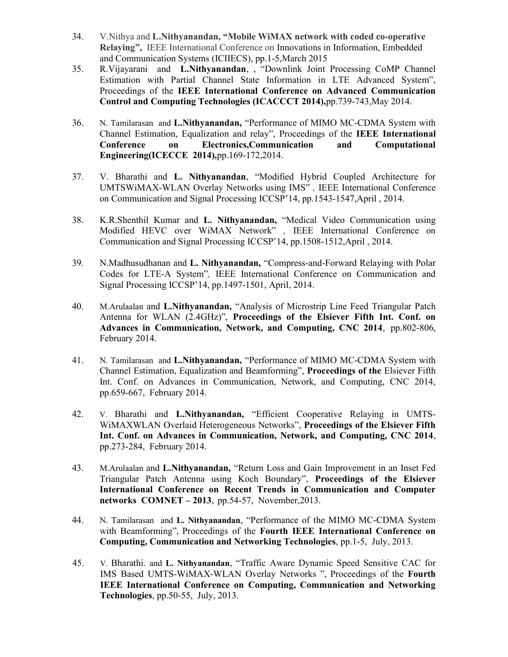- 34. V.Nithya and L.Nithyanandan, "Mobile WiMAX network with coded co-operative Relaying", IEEE International Conference on Innovations in Information, Embedded and Communication Systems (ICIIECS), pp.1-5,March 2015
- 35. R.Vijayarani and L.Nithyanandan, , "Downlink Joint Processing CoMP Channel Estimation with Partial Channel State Information in LTE Advanced System", Proceedings of the IEEE International Conference on Advanced Communication Control and Computing Technologies (ICACCCT 2014),pp.739-743,May 2014.
- 36. N. Tamilarasan and L.Nithyanandan, "Performance of MIMO MC-CDMA System with Channel Estimation, Equalization and relay", Proceedings of the IEEE International Conference on Electronics,Communication and Computational Engineering(ICECCE 2014),pp.169-172,2014.
- 37. V. Bharathi and L. Nithyanandan, "Modified Hybrid Coupled Architecture for UMTSWiMAX-WLAN Overlay Networks using IMS" , IEEE International Conference on Communication and Signal Processing ICCSP'14, pp.1543-1547,April , 2014.
- 38. K.R.Shenthil Kumar and L. Nithyanandan, "Medical Video Communication using Modified HEVC over WiMAX Network" , IEEE International Conference on Communication and Signal Processing ICCSP'14, pp.1508-1512,April , 2014.
- 39. N.Madhusudhanan and L. Nithyanandan, "Compress-and-Forward Relaying with Polar Codes for LTE-A System", IEEE International Conference on Communication and Signal Processing ICCSP'14, pp.1497-1501, April, 2014.
- 40. M.Arulaalan and L.Nithyanandan, "Analysis of Microstrip Line Feed Triangular Patch Antenna for WLAN (2.4GHz)", Proceedings of the Elsiever Fifth Int. Conf. on Advances in Communication, Network, and Computing, CNC 2014, pp.802-806, February 2014.
- 41. N. Tamilarasan and L.Nithyanandan, "Performance of MIMO MC-CDMA System with Channel Estimation, Equalization and Beamforming", Proceedings of the Elsiever Fifth Int. Conf. on Advances in Communication, Network, and Computing, CNC 2014, pp.659-667, February 2014.
- 42. V. Bharathi and L.Nithyanandan, "Efficient Cooperative Relaying in UMTS-WiMAXWLAN Overlaid Heterogeneous Networks", Proceedings of the Elsiever Fifth Int. Conf. on Advances in Communication, Network, and Computing, CNC 2014, pp.273-284, February 2014.
- 43. M.Arulaalan and L.Nithyanandan, "Return Loss and Gain Improvement in an Inset Fed Triangular Patch Antenna using Koch Boundary", Proceedings of the Elsiever International Conference on Recent Trends in Communication and Computer networks COMNET – 2013, pp.54-57, November,2013.
- 44. N. Tamilarasan and L. Nithyanandan, "Performance of the MIMO MC-CDMA System with Beamforming", Proceedings of the Fourth IEEE International Conference on Computing, Communication and Networking Technologies, pp.1-5, July, 2013.
- 45. V. Bharathi. and L. Nithyanandan, "Traffic Aware Dynamic Speed Sensitive CAC for IMS Based UMTS-WiMAX-WLAN Overlay Networks ", Proceedings of the Fourth IEEE International Conference on Computing, Communication and Networking Technologies, pp.50-55, July, 2013.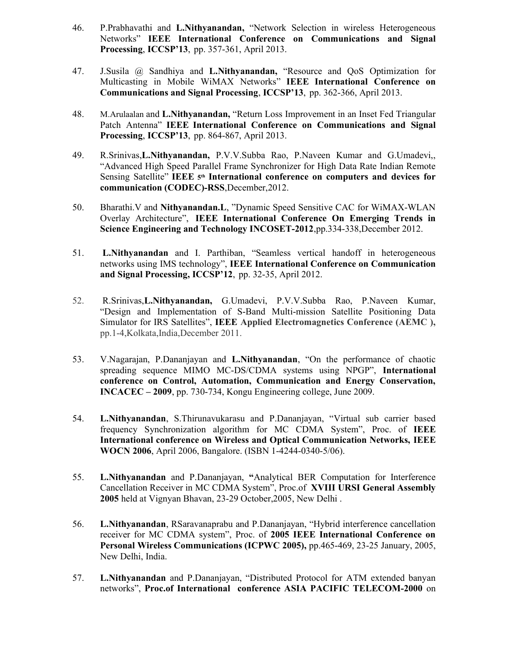- 46. P.Prabhavathi and L.Nithyanandan, "Network Selection in wireless Heterogeneous Networks" IEEE International Conference on Communications and Signal Processing, ICCSP'13, pp. 357-361, April 2013.
- 47. J.Susila @ Sandhiya and L.Nithyanandan, "Resource and QoS Optimization for Multicasting in Mobile WiMAX Networks" IEEE International Conference on Communications and Signal Processing, ICCSP'13, pp. 362-366, April 2013.
- 48. M.Arulaalan and L.Nithyanandan, "Return Loss Improvement in an Inset Fed Triangular Patch Antenna" IEEE International Conference on Communications and Signal Processing, ICCSP'13, pp. 864-867, April 2013.
- 49. R.Srinivas,L.Nithyanandan, P.V.V.Subba Rao, P.Naveen Kumar and G.Umadevi,, "Advanced High Speed Parallel Frame Synchronizer for High Data Rate Indian Remote Sensing Satellite" IEEE 5<sup>th</sup> International conference on computers and devices for communication (CODEC)-RSS,December,2012.
- 50. Bharathi.V and Nithyanandan.L, "Dynamic Speed Sensitive CAC for WiMAX-WLAN Overlay Architecture", IEEE International Conference On Emerging Trends in Science Engineering and Technology INCOSET-2012,pp.334-338,December 2012.
- 51. L.Nithyanandan and I. Parthiban, "Seamless vertical handoff in heterogeneous networks using IMS technology", IEEE International Conference on Communication and Signal Processing, ICCSP'12, pp. 32-35, April 2012.
- 52. R.Srinivas,L.Nithyanandan, G.Umadevi, P.V.V.Subba Rao, P.Naveen Kumar, "Design and Implementation of S-Band Multi-mission Satellite Positioning Data Simulator for IRS Satellites", IEEE Applied Electromagnetics Conference (AEMC ), pp.1-4,Kolkata,India,December 2011.
- 53. V.Nagarajan, P.Dananjayan and L.Nithyanandan, "On the performance of chaotic spreading sequence MIMO MC-DS/CDMA systems using NPGP", International conference on Control, Automation, Communication and Energy Conservation, INCACEC – 2009, pp. 730-734, Kongu Engineering college, June 2009.
- 54. L.Nithyanandan, S.Thirunavukarasu and P.Dananjayan, "Virtual sub carrier based frequency Synchronization algorithm for MC CDMA System", Proc. of IEEE International conference on Wireless and Optical Communication Networks, IEEE WOCN 2006, April 2006, Bangalore. (ISBN 1-4244-0340-5/06).
- 55. L.Nithyanandan and P.Dananjayan, "Analytical BER Computation for Interference Cancellation Receiver in MC CDMA System", Proc.of XVIII URSI General Assembly 2005 held at Vignyan Bhavan, 23-29 October,2005, New Delhi .
- 56. L.Nithyanandan, RSaravanaprabu and P.Dananjayan, "Hybrid interference cancellation receiver for MC CDMA system", Proc. of 2005 IEEE International Conference on Personal Wireless Communications (ICPWC 2005), pp.465-469, 23-25 January, 2005, New Delhi, India.
- 57. L.Nithyanandan and P.Dananjayan, "Distributed Protocol for ATM extended banyan networks", Proc.of International conference ASIA PACIFIC TELECOM-2000 on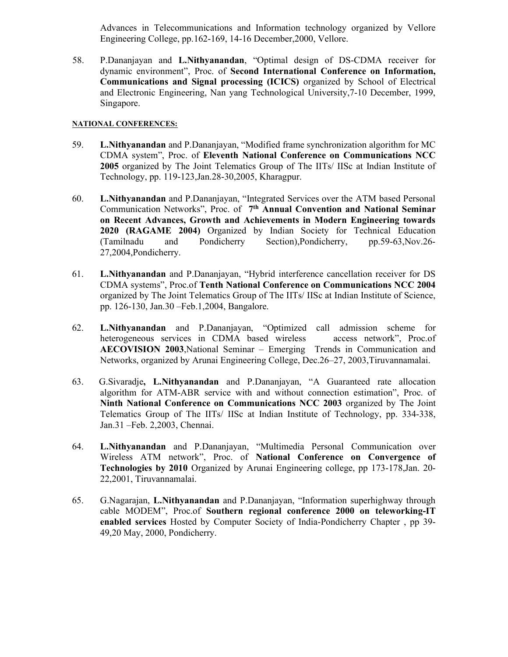Advances in Telecommunications and Information technology organized by Vellore Engineering College, pp.162-169, 14-16 December,2000, Vellore.

58. P.Dananjayan and L.Nithyanandan, "Optimal design of DS-CDMA receiver for dynamic environment", Proc. of Second International Conference on Information, Communications and Signal processing (ICICS) organized by School of Electrical and Electronic Engineering, Nan yang Technological University,7-10 December, 1999, Singapore.

## NATIONAL CONFERENCES:

- 59. L.Nithyanandan and P.Dananjayan, "Modified frame synchronization algorithm for MC CDMA system", Proc. of Eleventh National Conference on Communications NCC 2005 organized by The Joint Telematics Group of The IITs/ IISc at Indian Institute of Technology, pp. 119-123,Jan.28-30,2005, Kharagpur.
- 60. L.Nithyanandan and P.Dananjayan, "Integrated Services over the ATM based Personal Communication Networks", Proc. of  $7<sup>th</sup>$  Annual Convention and National Seminar on Recent Advances, Growth and Achievements in Modern Engineering towards 2020 (RAGAME 2004) Organized by Indian Society for Technical Education (Tamilnadu and Pondicherry Section),Pondicherry, pp.59-63,Nov.26- 27,2004,Pondicherry.
- 61. L.Nithyanandan and P.Dananjayan, "Hybrid interference cancellation receiver for DS CDMA systems", Proc.of Tenth National Conference on Communications NCC 2004 organized by The Joint Telematics Group of The IITs/ IISc at Indian Institute of Science, pp. 126-130, Jan.30 –Feb.1,2004, Bangalore.
- 62. L.Nithyanandan and P.Dananjayan, "Optimized call admission scheme for heterogeneous services in CDMA based wireless access network", Proc.of AECOVISION 2003,National Seminar – Emerging Trends in Communication and Networks, organized by Arunai Engineering College, Dec.26–27, 2003,Tiruvannamalai.
- 63. G.Sivaradje, L.Nithyanandan and P.Dananjayan, "A Guaranteed rate allocation algorithm for ATM-ABR service with and without connection estimation", Proc. of Ninth National Conference on Communications NCC 2003 organized by The Joint Telematics Group of The IITs/ IISc at Indian Institute of Technology, pp. 334-338, Jan.31 –Feb. 2,2003, Chennai.
- 64. L.Nithyanandan and P.Dananjayan, "Multimedia Personal Communication over Wireless ATM network", Proc. of National Conference on Convergence of Technologies by 2010 Organized by Arunai Engineering college, pp 173-178,Jan. 20- 22,2001, Tiruvannamalai.
- 65. G.Nagarajan, L.Nithyanandan and P.Dananjayan, "Information superhighway through cable MODEM", Proc.of Southern regional conference 2000 on teleworking-IT enabled services Hosted by Computer Society of India-Pondicherry Chapter , pp 39- 49,20 May, 2000, Pondicherry.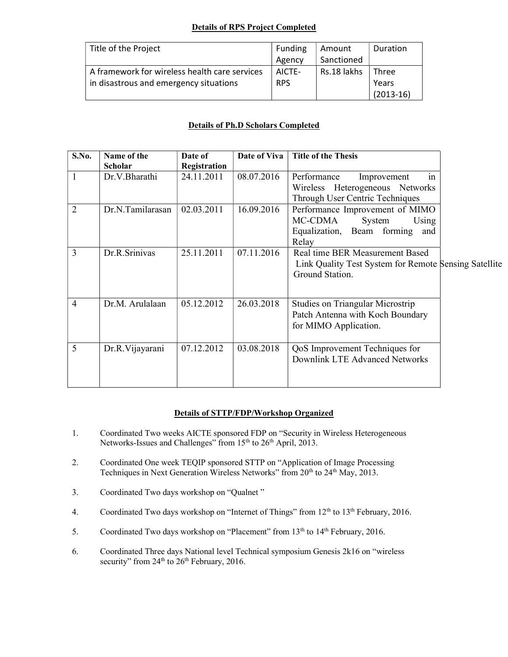# Details of RPS Project Completed

| Title of the Project                          | Funding    | Amount      | Duration    |
|-----------------------------------------------|------------|-------------|-------------|
|                                               | Agency     | Sanctioned  |             |
| A framework for wireless health care services | AICTE-     | Rs.18 lakhs | Three       |
| in disastrous and emergency situations        | <b>RPS</b> |             | Years       |
|                                               |            |             | $(2013-16)$ |

# Details of Ph.D Scholars Completed

| S.No.          | Name of the      | Date of      | Date of Viva | <b>Title of the Thesis</b>                            |  |
|----------------|------------------|--------------|--------------|-------------------------------------------------------|--|
|                | Scholar          | Registration |              |                                                       |  |
|                | Dr.V.Bharathi    | 24.11.2011   | 08.07.2016   | Performance<br>Improvement<br>1n                      |  |
|                |                  |              |              | Wireless Heterogeneous Networks                       |  |
|                |                  |              |              | Through User Centric Techniques                       |  |
| $\overline{2}$ | Dr.N.Tamilarasan | 02.03.2011   | 16.09.2016   | Performance Improvement of MIMO                       |  |
|                |                  |              |              | MC-CDMA<br>System<br>Using                            |  |
|                |                  |              |              | Equalization, Beam forming<br>and                     |  |
|                |                  |              |              | Relay                                                 |  |
| 3              | Dr.R.Srinivas    | 25.11.2011   | 07.11.2016   | Real time BER Measurement Based                       |  |
|                |                  |              |              | Link Quality Test System for Remote Sensing Satellite |  |
|                |                  |              |              | Ground Station.                                       |  |
|                |                  |              |              |                                                       |  |
|                |                  |              |              |                                                       |  |
| $\overline{4}$ | Dr.M. Arulalaan  | 05.12.2012   | 26.03.2018   | <b>Studies on Triangular Microstrip</b>               |  |
|                |                  |              |              | Patch Antenna with Koch Boundary                      |  |
|                |                  |              |              | for MIMO Application.                                 |  |
|                |                  |              |              |                                                       |  |
| 5              | Dr.R. Vijayarani | 07.12.2012   | 03.08.2018   | QoS Improvement Techniques for                        |  |
|                |                  |              |              | Downlink LTE Advanced Networks                        |  |
|                |                  |              |              |                                                       |  |
|                |                  |              |              |                                                       |  |

## Details of STTP/FDP/Workshop Organized

- 1. Coordinated Two weeks AICTE sponsored FDP on "Security in Wireless Heterogeneous Networks-Issues and Challenges" from 15<sup>th</sup> to 26<sup>th</sup> April, 2013.
- 2. Coordinated One week TEQIP sponsored STTP on "Application of Image Processing Techniques in Next Generation Wireless Networks" from 20<sup>th</sup> to 24<sup>th</sup> May, 2013.
- 3. Coordinated Two days workshop on "Qualnet "
- 4. Coordinated Two days workshop on "Internet of Things" from 12<sup>th</sup> to 13<sup>th</sup> February, 2016.
- 5. Coordinated Two days workshop on "Placement" from 13<sup>th</sup> to 14<sup>th</sup> February, 2016.
- 6. Coordinated Three days National level Technical symposium Genesis 2k16 on "wireless security" from  $24<sup>th</sup>$  to  $26<sup>th</sup>$  February, 2016.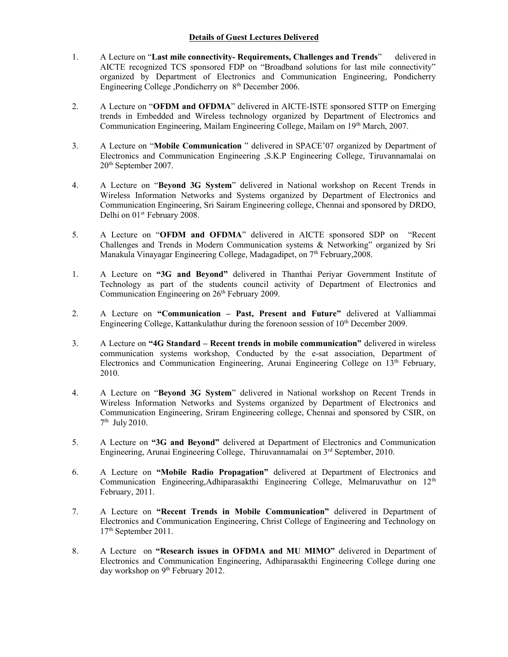## Details of Guest Lectures Delivered

- 1. A Lecture on "Last mile connectivity- Requirements, Challenges and Trends" delivered in AICTE recognized TCS sponsored FDP on "Broadband solutions for last mile connectivity" organized by Department of Electronics and Communication Engineering, Pondicherry Engineering College ,Pondicherry on 8<sup>th</sup> December 2006.
- 2. A Lecture on "OFDM and OFDMA" delivered in AICTE-ISTE sponsored STTP on Emerging trends in Embedded and Wireless technology organized by Department of Electronics and Communication Engineering, Mailam Engineering College, Mailam on 19th March, 2007.
- 3. A Lecture on "Mobile Communication " delivered in SPACE'07 organized by Department of Electronics and Communication Engineering ,S.K.P Engineering College, Tiruvannamalai on 20th September 2007.
- 4. A Lecture on "Beyond 3G System" delivered in National workshop on Recent Trends in Wireless Information Networks and Systems organized by Department of Electronics and Communication Engineering, Sri Sairam Engineering college, Chennai and sponsored by DRDO, Delhi on 01<sup>st</sup> February 2008.
- 5. A Lecture on "OFDM and OFDMA" delivered in AICTE sponsored SDP on "Recent Challenges and Trends in Modern Communication systems & Networking" organized by Sri Manakula Vinayagar Engineering College, Madagadipet, on 7<sup>th</sup> February, 2008.
- 1. A Lecture on "3G and Beyond" delivered in Thanthai Periyar Government Institute of Technology as part of the students council activity of Department of Electronics and Communication Engineering on 26<sup>th</sup> February 2009.
- 2. A Lecture on "Communication Past, Present and Future" delivered at Valliammai Engineering College, Kattankulathur during the forenoon session of 10<sup>th</sup> December 2009.
- 3. A Lecture on "4G Standard Recent trends in mobile communication" delivered in wireless communication systems workshop, Conducted by the e-sat association, Department of Electronics and Communication Engineering, Arunai Engineering College on  $13<sup>th</sup>$  February, 2010.
- 4. A Lecture on "Beyond 3G System" delivered in National workshop on Recent Trends in Wireless Information Networks and Systems organized by Department of Electronics and Communication Engineering, Sriram Engineering college, Chennai and sponsored by CSIR, on  $7<sup>th</sup>$  July 2010.
- 5. A Lecture on "3G and Beyond" delivered at Department of Electronics and Communication Engineering, Arunai Engineering College, Thiruvannamalai on 3rd September, 2010.
- 6. A Lecture on "Mobile Radio Propagation" delivered at Department of Electronics and Communication Engineering,Adhiparasakthi Engineering College, Melmaruvathur on  $12<sup>th</sup>$ February, 2011.
- 7. A Lecture on "Recent Trends in Mobile Communication" delivered in Department of Electronics and Communication Engineering, Christ College of Engineering and Technology on 17th September 2011.
- 8. A Lecture on "Research issues in OFDMA and MU MIMO" delivered in Department of Electronics and Communication Engineering, Adhiparasakthi Engineering College during one day workshop on 9<sup>th</sup> February 2012.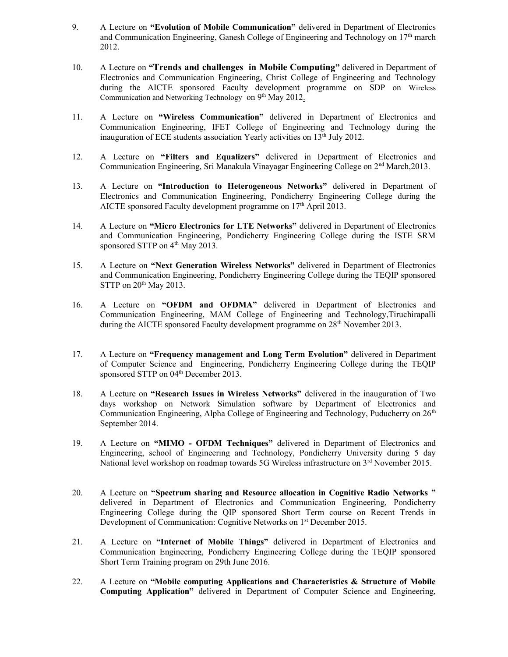- 9. A Lecture on "Evolution of Mobile Communication" delivered in Department of Electronics and Communication Engineering, Ganesh College of Engineering and Technology on  $17<sup>th</sup>$  march 2012.
- 10. A Lecture on "Trends and challenges in Mobile Computing" delivered in Department of Electronics and Communication Engineering, Christ College of Engineering and Technology during the AICTE sponsored Faculty development programme on SDP on Wireless Communication and Networking Technology on 9<sup>th</sup> May 2012.
- 11. A Lecture on "Wireless Communication" delivered in Department of Electronics and Communication Engineering, IFET College of Engineering and Technology during the inauguration of ECE students association Yearly activities on 13<sup>th</sup> July 2012.
- 12. A Lecture on "Filters and Equalizers" delivered in Department of Electronics and Communication Engineering, Sri Manakula Vinayagar Engineering College on  $2<sup>nd</sup>$  March, 2013.
- 13. A Lecture on "Introduction to Heterogeneous Networks" delivered in Department of Electronics and Communication Engineering, Pondicherry Engineering College during the AICTE sponsored Faculty development programme on 17<sup>th</sup> April 2013.
- 14. A Lecture on "Micro Electronics for LTE Networks" delivered in Department of Electronics and Communication Engineering, Pondicherry Engineering College during the ISTE SRM sponsored STTP on 4<sup>th</sup> May 2013.
- 15. A Lecture on "Next Generation Wireless Networks" delivered in Department of Electronics and Communication Engineering, Pondicherry Engineering College during the TEQIP sponsored STTP on  $20<sup>th</sup>$  May 2013.
- 16. A Lecture on "OFDM and OFDMA" delivered in Department of Electronics and Communication Engineering, MAM College of Engineering and Technology,Tiruchirapalli during the AICTE sponsored Faculty development programme on 28<sup>th</sup> November 2013.
- 17. A Lecture on "Frequency management and Long Term Evolution" delivered in Department of Computer Science and Engineering, Pondicherry Engineering College during the TEQIP sponsored STTP on 04<sup>th</sup> December 2013.
- 18. A Lecture on "Research Issues in Wireless Networks" delivered in the inauguration of Two days workshop on Network Simulation software by Department of Electronics and Communication Engineering, Alpha College of Engineering and Technology, Puducherry on  $26<sup>th</sup>$ September 2014.
- 19. A Lecture on "MIMO OFDM Techniques" delivered in Department of Electronics and Engineering, school of Engineering and Technology, Pondicherry University during 5 day National level workshop on roadmap towards 5G Wireless infrastructure on 3<sup>rd</sup> November 2015.
- 20. A Lecture on "Spectrum sharing and Resource allocation in Cognitive Radio Networks " delivered in Department of Electronics and Communication Engineering, Pondicherry Engineering College during the QIP sponsored Short Term course on Recent Trends in Development of Communication: Cognitive Networks on 1<sup>st</sup> December 2015.
- 21. A Lecture on "Internet of Mobile Things" delivered in Department of Electronics and Communication Engineering, Pondicherry Engineering College during the TEQIP sponsored Short Term Training program on 29th June 2016.
- 22. A Lecture on "Mobile computing Applications and Characteristics & Structure of Mobile Computing Application" delivered in Department of Computer Science and Engineering,